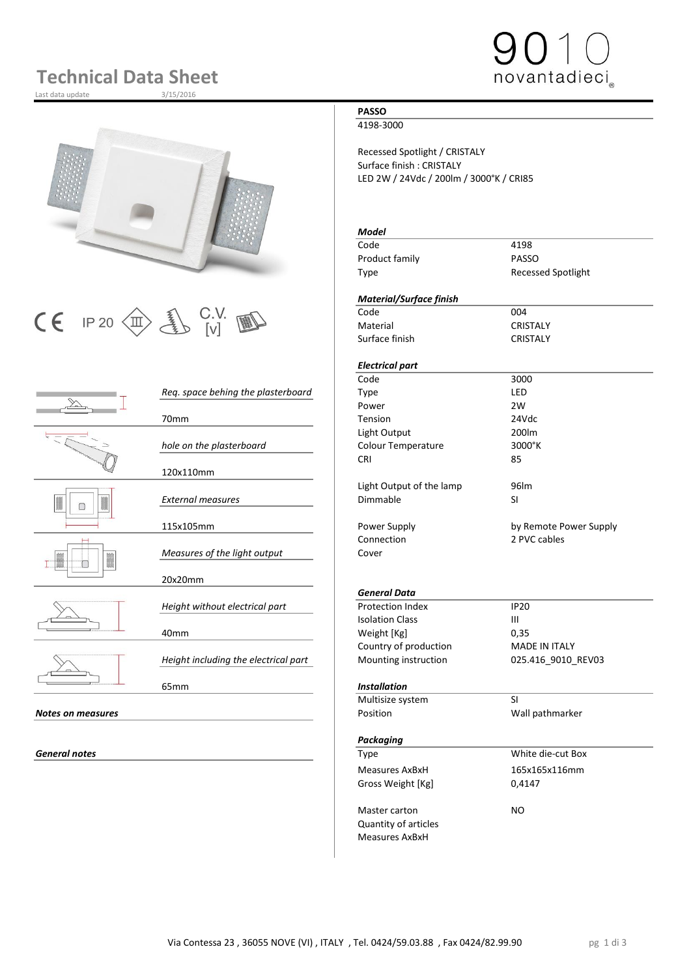# **Technical Data Sheet**

Last data update



# $\begin{array}{|c|c|c|c|}\n\hline\n\text{C} & \text{IP 20}\n\hline\n\text{CD} & \text{UV} & \text{VU} & \text{WU}\n\hline\n\text{Materal} & \text{C} & \text{C} & \text{C} & \text{C} & \text{C} & \text{C} \\
\hline\n\end{array}$

|                          |                                      | code                      | <b>3UUU</b>          |
|--------------------------|--------------------------------------|---------------------------|----------------------|
|                          | Req. space behing the plasterboard   | Type                      | LED                  |
|                          |                                      | Power                     | 2W                   |
|                          | 70 <sub>mm</sub>                     | Tension                   | 24Vdc                |
|                          |                                      | Light Output              | 200lm                |
|                          | hole on the plasterboard             | <b>Colour Temperature</b> | 3000°K               |
|                          |                                      | <b>CRI</b>                | 85                   |
|                          | 120x110mm                            |                           |                      |
|                          |                                      | Light Output of the lamp  | 96lm                 |
|                          | <b>External measures</b>             | Dimmable                  | SI                   |
|                          |                                      |                           |                      |
|                          | 115x105mm                            | Power Supply              | by Remote Powe       |
|                          |                                      | Connection                | 2 PVC cables         |
|                          | Measures of the light output         | Cover                     |                      |
|                          |                                      |                           |                      |
|                          | 20x20mm                              |                           |                      |
|                          |                                      | <b>General Data</b>       |                      |
|                          | Height without electrical part       | <b>Protection Index</b>   | <b>IP20</b>          |
|                          |                                      | <b>Isolation Class</b>    | $\mathbf{III}$       |
|                          | 40 <sub>mm</sub>                     | Weight [Kg]               | 0,35                 |
|                          |                                      | Country of production     | <b>MADE IN ITALY</b> |
|                          | Height including the electrical part | Mounting instruction      | 025.416_9010_R       |
|                          |                                      |                           |                      |
|                          | 65 <sub>mm</sub>                     | <b>Installation</b>       |                      |
|                          |                                      | Multisize system          | <b>SI</b>            |
| <b>Notes on measures</b> |                                      | Position                  | Wall pathmarker      |
|                          |                                      |                           |                      |
|                          |                                      | <b>Packaging</b>          |                      |

### **PASSO**

4198-3000

Recessed Spotlight / CRISTALY Surface finish : CRISTALY LED 2W / 24Vdc / 200lm / 3000°K / CRI85

### *Model*

Code 4198 Product family **PASSO** Type Recessed Spotlight

novantadieci

### *Material/Surface finish*

Material CRISTALY Surface finish CRISTALY

### *Electrical part*

Transformation of the Society of the Society of the Society of the Society of the Society of the Society of the Society of the Society of the Society of the Society of the Society of the Society of the Society of the Socie *Req. space behing the plasterboard* Type LED Power 2W 70mm Tension 24Vdc Light Output 200lm *hole on the plasterboard* Colour Temperature 3000°K CRI 85 Light Output of the lamp 96lm *External measures* Dimmable SI

Power Supply **115 and 115 and 115 and 115 and 115 and 115 and 115 and 115 and 115 and 115 and 115 and 115 and 11** Connection 2 PVC cables

### *General Data*

**Protection Index IP20**<br>Isolation Class III **Isolation Class** Weight [Kg] 0,35 Country of production<br>
MADE IN ITALY<br>
Mounting instruction
25.416\_9010\_REV03 **Mounting instruction** 

### 65mm *Installation*

|                   | Multisize system            | SI                |  |
|-------------------|-----------------------------|-------------------|--|
| Notes on measures | Position                    | Wall pathmarker   |  |
|                   | Packaging                   |                   |  |
| General notes     | Type                        | White die-cut Box |  |
|                   | Measures AxBxH              | 165x165x116mm     |  |
|                   | Gross Weight [Kg]           | 0,4147            |  |
|                   | Master carton               | NO.               |  |
|                   | <b>Quantity of articles</b> |                   |  |
|                   | <b>Measures AxBxH</b>       |                   |  |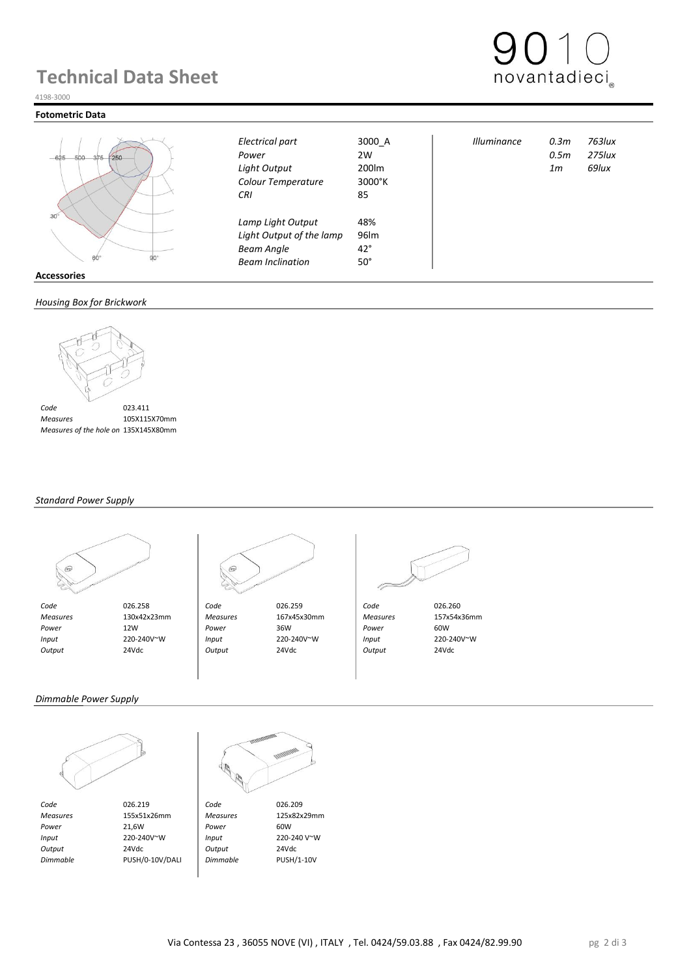## **Technical Data Sheet**



#### 4198-3000

#### **Fotometric Data**



|        | . |  |
|--------|---|--|
| sories |   |  |

### *Housing Box for Brickwork*



 *Measures* 105X115X70mm  *Measures of the hole on Brickwork* 135X145X80mm

### *Standard Power Supply*





 *Measures* 130x42x23mm *Measures* 167x45x30mm *Measures* 157x54x36mm  *Power* 12W *Power* 36W *Power* 60W  *Input* 220-240V~W *Input* 220-240V~W *Input* 220-240V~W  *Output* 24Vdc *Output* 24Vdc *Output* 24Vdc

*Colour Temperature* 3000°K *CRI* 85

*Lamp Light Output* 48%<br>*Light Output of the lamp* 96lm **Light Output of the lamp** *Beam Angle* 42° *Beam Inclination* 50°



*Electrical part* 3000\_A *Illuminance 0.3m 763lux Power* 2W *0.5m 275lux Light Output* 200lm *1m 69lux*

### *Dimmable Power Supply*



*Code* 026.219 **Code** 026.209<br> *Measures* 155x51x26mm *Measures* 125x82x29mm  *Measures* 155x51x26mm *Measures* 125x82x29mm *Power* 21,6W **Power** 60W  *Input* 220-240V~W *Input* 220-240 V~W  *Output* 24Vdc *Output* 24Vdc  *Dimmable* PUSH/0-10V/DALI *Dimmable* PUSH/1-10V